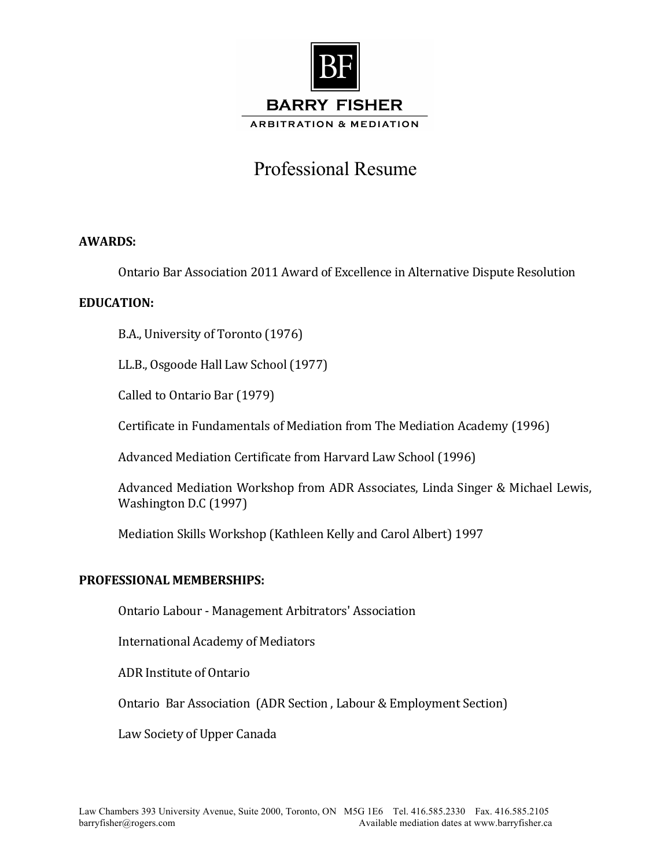

# Professional Resume

# **AWARDS:**

Ontario Bar Association 2011 Award of Excellence in Alternative Dispute Resolution

## **EDUCATION:**

B.A., University of Toronto (1976)

LL.B., Osgoode Hall Law School (1977)

Called to Ontario Bar (1979)

Certificate in Fundamentals of Mediation from The Mediation Academy (1996)

Advanced Mediation Certificate from Harvard Law School (1996)

Advanced Mediation Workshop from ADR Associates, Linda Singer & Michael Lewis, Washington D.C (1997)

Mediation Skills Workshop (Kathleen Kelly and Carol Albert) 1997

### **PROFESSIONAL MEMBERSHIPS:**

Ontario Labour - Management Arbitrators' Association

International Academy of Mediators 

ADR Institute of Ontario

Ontario Bar Association (ADR Section, Labour & Employment Section)

Law Society of Upper Canada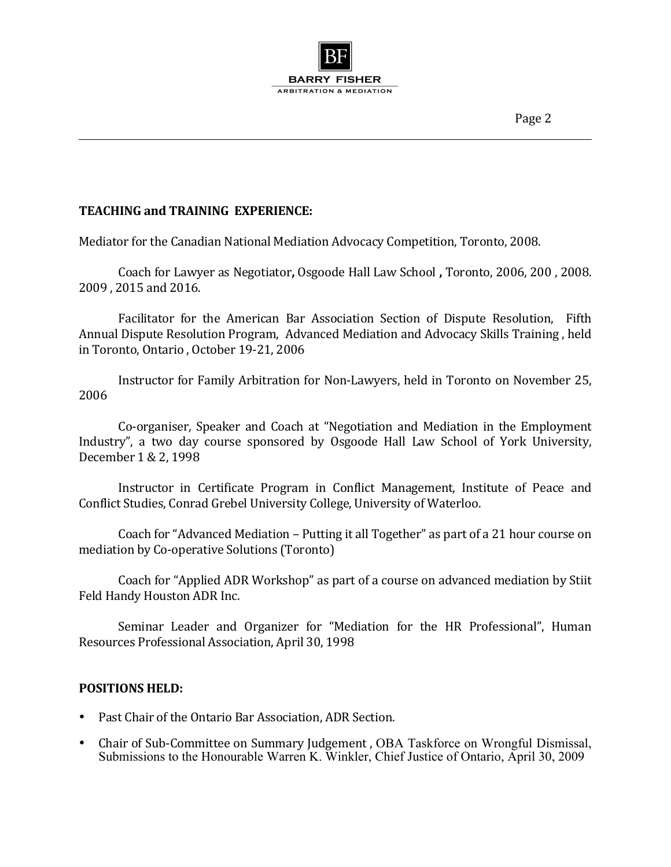

# **TEACHING and TRAINING EXPERIENCE:**

Mediator for the Canadian National Mediation Advocacy Competition, Toronto, 2008.

Coach for Lawyer as Negotiator, Osgoode Hall Law School, Toronto, 2006, 200, 2008. 2009, 2015 and 2016.

Facilitator for the American Bar Association Section of Dispute Resolution, Fifth Annual Dispute Resolution Program, Advanced Mediation and Advocacy Skills Training, held in Toronto, Ontario, October 19-21, 2006

Instructor for Family Arbitration for Non-Lawyers, held in Toronto on November 25, 2006

Co-organiser, Speaker and Coach at "Negotiation and Mediation in the Employment Industry", a two day course sponsored by Osgoode Hall Law School of York University, December 1 & 2, 1998

Instructor in Certificate Program in Conflict Management, Institute of Peace and Conflict Studies, Conrad Grebel University College, University of Waterloo.

Coach for "Advanced Mediation – Putting it all Together" as part of a 21 hour course on mediation by Co-operative Solutions (Toronto)

Coach for "Applied ADR Workshop" as part of a course on advanced mediation by Stiit Feld Handy Houston ADR Inc.

Seminar Leader and Organizer for "Mediation for the HR Professional", Human Resources Professional Association, April 30, 1998

### **POSITIONS HELD:**

- Past Chair of the Ontario Bar Association, ADR Section.
- Chair of Sub-Committee on Summary Judgement, OBA Taskforce on Wrongful Dismissal, Submissions to the Honourable Warren K. Winkler, Chief Justice of Ontario, April 30, 2009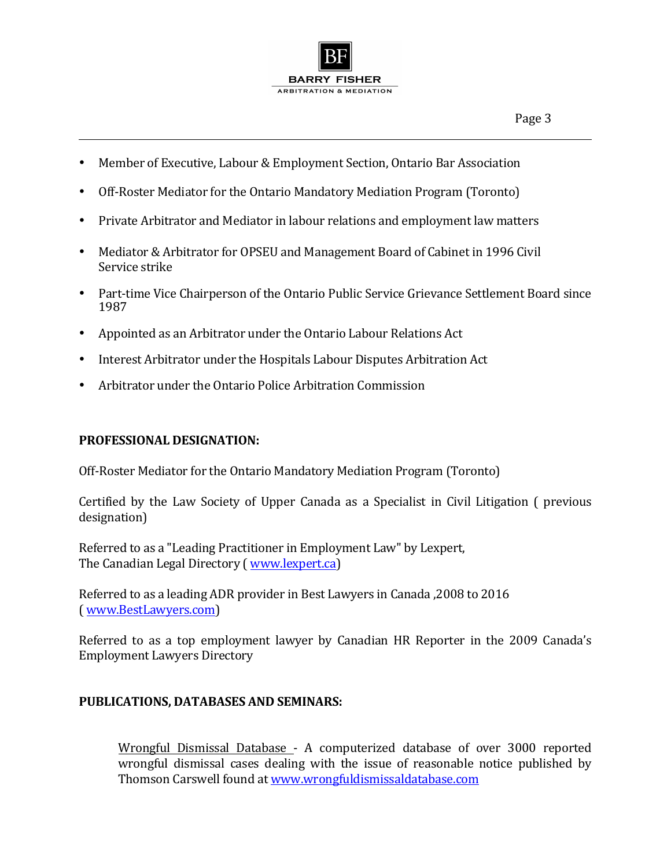

- Member of Executive, Labour & Employment Section, Ontario Bar Association
- Off-Roster Mediator for the Ontario Mandatory Mediation Program (Toronto)
- Private Arbitrator and Mediator in labour relations and employment law matters
- Mediator & Arbitrator for OPSEU and Management Board of Cabinet in 1996 Civil Service strike
- Part-time Vice Chairperson of the Ontario Public Service Grievance Settlement Board since 1987
- Appointed as an Arbitrator under the Ontario Labour Relations Act
- Interest Arbitrator under the Hospitals Labour Disputes Arbitration Act
- Arbitrator under the Ontario Police Arbitration Commission

# **PROFESSIONAL DESIGNATION:**

Off-Roster Mediator for the Ontario Mandatory Mediation Program (Toronto)

Certified by the Law Society of Upper Canada as a Specialist in Civil Litigation ( previous designation) 

Referred to as a "Leading Practitioner in Employment Law" by Lexpert, The Canadian Legal Directory (*www.lexpert.ca*)

Referred to as a leading ADR provider in Best Lawyers in Canada ,2008 to 2016 ( www.BestLawyers.com)

Referred to as a top employment lawyer by Canadian HR Reporter in the 2009 Canada's **Employment Lawyers Directory** 

# **PUBLICATIONS, DATABASES AND SEMINARS:**

Wrongful Dismissal Database - A computerized database of over 3000 reported wrongful dismissal cases dealing with the issue of reasonable notice published by Thomson Carswell found at www.wrongfuldismissaldatabase.com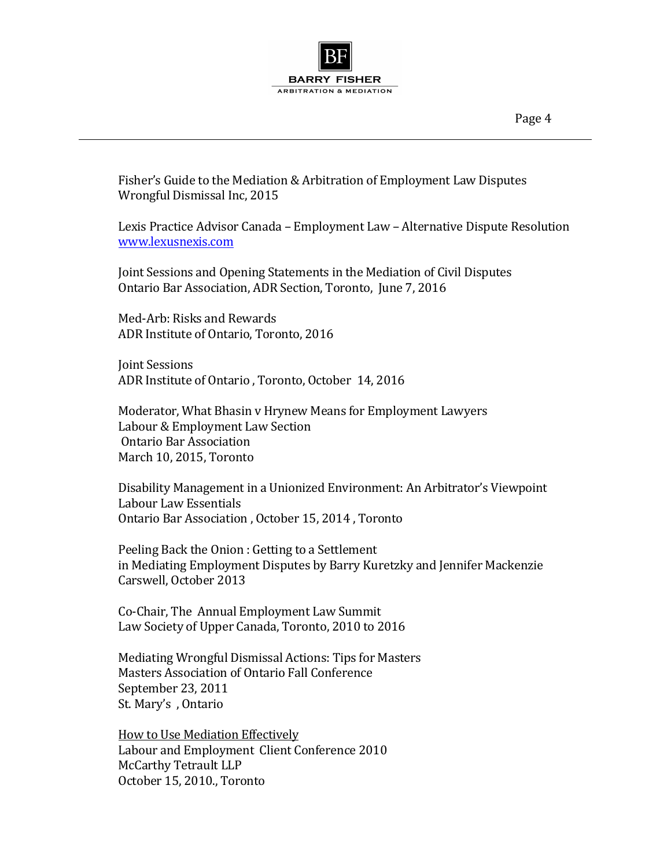

Fisher's Guide to the Mediation & Arbitration of Employment Law Disputes Wrongful Dismissal Inc, 2015

Lexis Practice Advisor Canada – Employment Law – Alternative Dispute Resolution www.lexusnexis.com

Joint Sessions and Opening Statements in the Mediation of Civil Disputes Ontario Bar Association, ADR Section, Toronto, June 7, 2016

Med-Arb: Risks and Rewards ADR Institute of Ontario, Toronto, 2016

**Joint Sessions** ADR Institute of Ontario, Toronto, October 14, 2016

Moderator, What Bhasin v Hrynew Means for Employment Lawyers Labour & Employment Law Section Ontario Bar Association March 10, 2015, Toronto

Disability Management in a Unionized Environment: An Arbitrator's Viewpoint Labour Law Essentials Ontario Bar Association, October 15, 2014, Toronto

Peeling Back the Onion : Getting to a Settlement in Mediating Employment Disputes by Barry Kuretzky and Jennifer Mackenzie Carswell, October 2013

Co-Chair, The Annual Employment Law Summit Law Society of Upper Canada, Toronto, 2010 to 2016

Mediating Wrongful Dismissal Actions: Tips for Masters Masters Association of Ontario Fall Conference September 23, 2011 St. Mary's, Ontario

How to Use Mediation Effectively Labour and Employment Client Conference 2010 McCarthy Tetrault LLP October 15, 2010., Toronto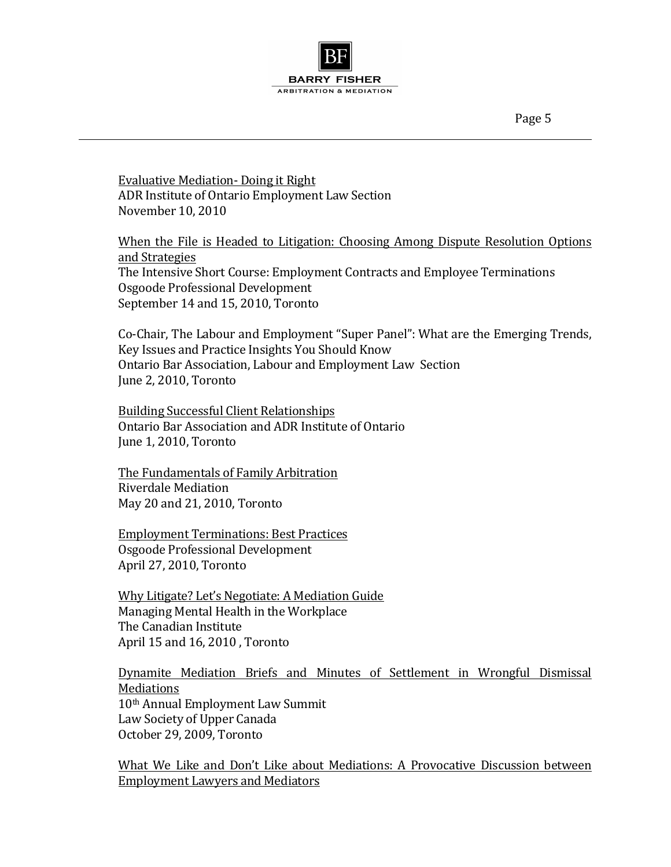Page 5

**Evaluative Mediation- Doing it Right** ADR Institute of Ontario Employment Law Section November 10, 2010

When the File is Headed to Litigation: Choosing Among Dispute Resolution Options and Strategies The Intensive Short Course: Employment Contracts and Employee Terminations Osgoode Professional Development September 14 and 15, 2010, Toronto

Co-Chair, The Labour and Employment "Super Panel": What are the Emerging Trends, Key Issues and Practice Insights You Should Know Ontario Bar Association, Labour and Employment Law Section June 2, 2010, Toronto

Building Successful Client Relationships Ontario Bar Association and ADR Institute of Ontario June 1, 2010, Toronto

The Fundamentals of Family Arbitration Riverdale Mediation May 20 and 21, 2010, Toronto

**Employment Terminations: Best Practices** Osgoode Professional Development April 27, 2010, Toronto

Why Litigate? Let's Negotiate: A Mediation Guide Managing Mental Health in the Workplace The Canadian Institute April 15 and 16, 2010, Toronto

Dynamite Mediation Briefs and Minutes of Settlement in Wrongful Dismissal Mediations 10<sup>th</sup> Annual Employment Law Summit Law Society of Upper Canada October 29, 2009, Toronto

What We Like and Don't Like about Mediations: A Provocative Discussion between Employment Lawyers and Mediators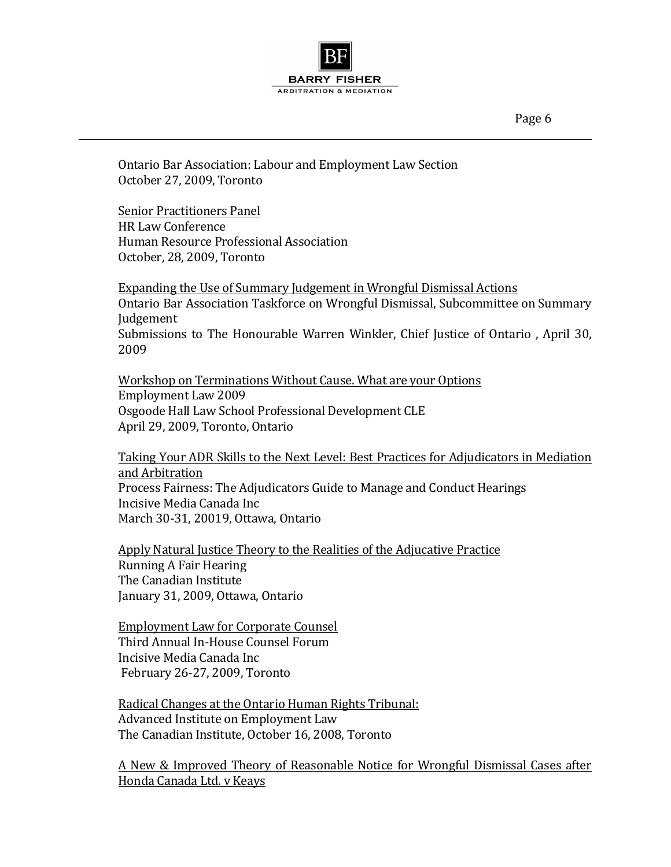Page 6

Ontario Bar Association: Labour and Employment Law Section October 27, 2009, Toronto

Senior Practitioners Panel **HR Law Conference** Human Resource Professional Association October, 28, 2009, Toronto

Expanding the Use of Summary Judgement in Wrongful Dismissal Actions Ontario Bar Association Taskforce on Wrongful Dismissal, Subcommittee on Summary Judgement Submissions to The Honourable Warren Winkler, Chief Justice of Ontario, April 30, 2009

Workshop on Terminations Without Cause. What are your Options Employment Law 2009 Osgoode Hall Law School Professional Development CLE April 29, 2009, Toronto, Ontario

Taking Your ADR Skills to the Next Level: Best Practices for Adjudicators in Mediation and Arbitration Process Fairness: The Adjudicators Guide to Manage and Conduct Hearings Incisive Media Canada Inc March 30-31, 20019, Ottawa, Ontario

Apply Natural Justice Theory to the Realities of the Adjucative Practice Running A Fair Hearing The Canadian Institute January 31, 2009, Ottawa, Ontario

Employment Law for Corporate Counsel Third Annual In-House Counsel Forum Incisive Media Canada Inc February 26-27, 2009, Toronto

Radical Changes at the Ontario Human Rights Tribunal: Advanced Institute on Employment Law The Canadian Institute, October 16, 2008, Toronto

A New & Improved Theory of Reasonable Notice for Wrongful Dismissal Cases after Honda Canada Ltd. v Keays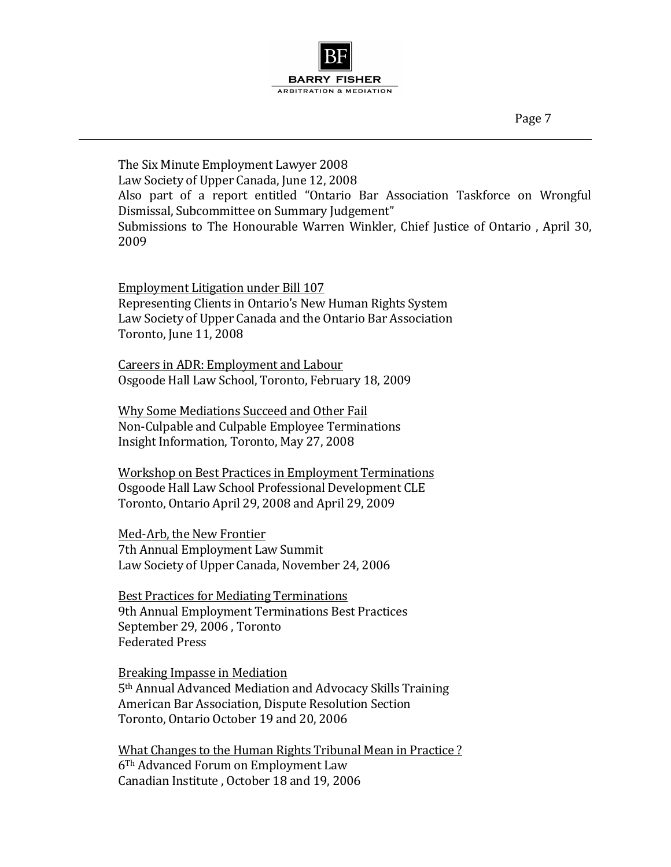

The Six Minute Employment Lawyer 2008 Law Society of Upper Canada, June 12, 2008 Also part of a report entitled "Ontario Bar Association Taskforce on Wrongful Dismissal, Subcommittee on Summary Judgement" Submissions to The Honourable Warren Winkler, Chief Justice of Ontario, April 30, 2009

Employment Litigation under Bill 107 Representing Clients in Ontario's New Human Rights System Law Society of Upper Canada and the Ontario Bar Association Toronto, June 11, 2008

Careers in ADR: Employment and Labour Osgoode Hall Law School, Toronto, February 18, 2009

Why Some Mediations Succeed and Other Fail Non-Culpable and Culpable Employee Terminations Insight Information, Toronto, May 27, 2008

Workshop on Best Practices in Employment Terminations Osgoode Hall Law School Professional Development CLE Toronto, Ontario April 29, 2008 and April 29, 2009

Med-Arb, the New Frontier 7th Annual Employment Law Summit Law Society of Upper Canada, November 24, 2006

**Best Practices for Mediating Terminations** 9th Annual Employment Terminations Best Practices September 29, 2006, Toronto Federated Press

Breaking Impasse in Mediation 5<sup>th</sup> Annual Advanced Mediation and Advocacy Skills Training American Bar Association, Dispute Resolution Section Toronto, Ontario October 19 and 20, 2006

What Changes to the Human Rights Tribunal Mean in Practice? 6<sup>Th</sup> Advanced Forum on Employment Law Canadian Institute, October 18 and 19, 2006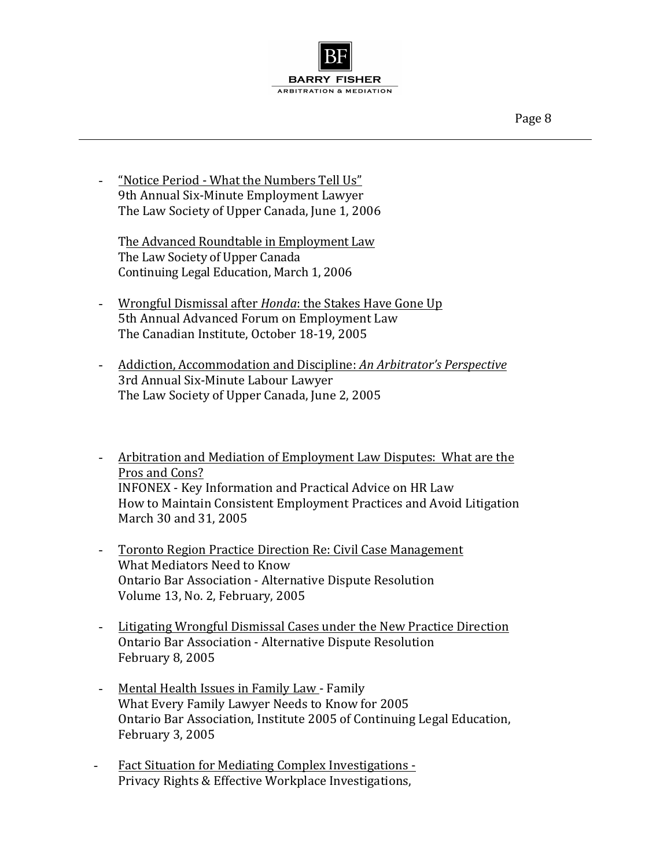

- "Notice Period - What the Numbers Tell Us" 9th Annual Six-Minute Employment Lawyer The Law Society of Upper Canada, June 1, 2006

The Advanced Roundtable in Employment Law The Law Society of Upper Canada Continuing Legal Education, March 1, 2006

- Wrongful Dismissal after *Honda*: the Stakes Have Gone Up 5th Annual Advanced Forum on Employment Law The Canadian Institute, October 18-19, 2005
- Addiction, Accommodation and Discipline: An Arbitrator's Perspective 3rd Annual Six-Minute Labour Lawyer The Law Society of Upper Canada, June 2, 2005
- Arbitration and Mediation of Employment Law Disputes: What are the Pros and Cons? INFONEX - Key Information and Practical Advice on HR Law How to Maintain Consistent Employment Practices and Avoid Litigation March 30 and 31, 2005
- Toronto Region Practice Direction Re: Civil Case Management What Mediators Need to Know Ontario Bar Association - Alternative Dispute Resolution Volume 13, No. 2, February, 2005
- Litigating Wrongful Dismissal Cases under the New Practice Direction Ontario Bar Association - Alternative Dispute Resolution February 8, 2005
- Mental Health Issues in Family Law Family What Every Family Lawyer Needs to Know for 2005 Ontario Bar Association, Institute 2005 of Continuing Legal Education, February 3, 2005
- Fact Situation for Mediating Complex Investigations -Privacy Rights & Effective Workplace Investigations,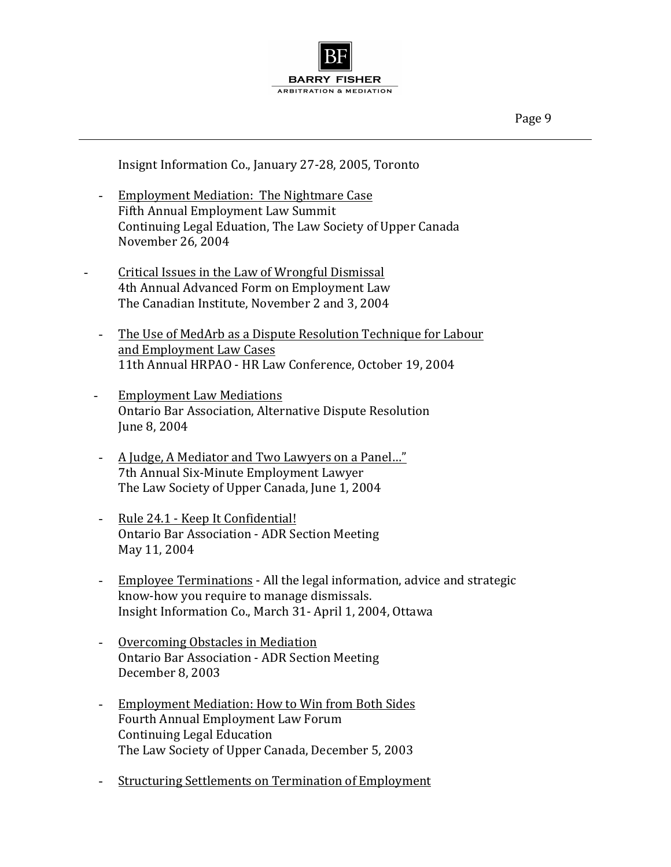

Insignt Information Co., January 27-28, 2005, Toronto

- Employment Mediation: The Nightmare Case Fifth Annual Employment Law Summit Continuing Legal Eduation, The Law Society of Upper Canada November 26, 2004
- Critical Issues in the Law of Wrongful Dismissal 4th Annual Advanced Form on Employment Law The Canadian Institute, November 2 and 3, 2004
	- The Use of MedArb as a Dispute Resolution Technique for Labour and Employment Law Cases 11th Annual HRPAO - HR Law Conference, October 19, 2004
	- Employment Law Mediations Ontario Bar Association, Alternative Dispute Resolution June 8, 2004
	- A Judge, A Mediator and Two Lawyers on a Panel..." 7th Annual Six-Minute Employment Lawyer The Law Society of Upper Canada, June 1, 2004
	- Rule 24.1 Keep It Confidential! Ontario Bar Association - ADR Section Meeting May 11, 2004
	- Employee Terminations All the legal information, advice and strategic know-how you require to manage dismissals. Insight Information Co., March 31- April 1, 2004, Ottawa
	- Overcoming Obstacles in Mediation Ontario Bar Association - ADR Section Meeting December 8, 2003
	- Employment Mediation: How to Win from Both Sides Fourth Annual Employment Law Forum Continuing Legal Education The Law Society of Upper Canada, December 5, 2003
	- Structuring Settlements on Termination of Employment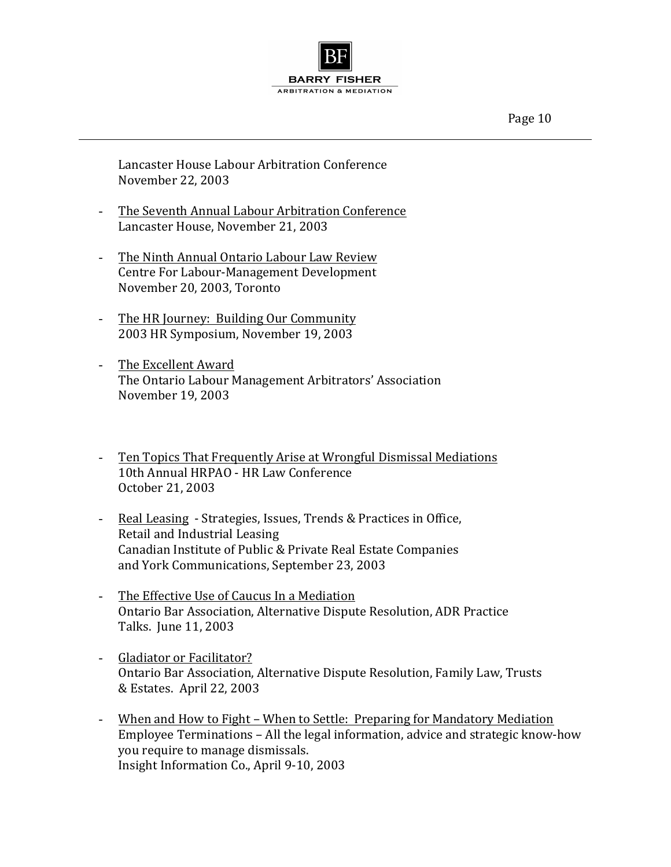

Lancaster House Labour Arbitration Conference November 22, 2003

- The Seventh Annual Labour Arbitration Conference Lancaster House, November 21, 2003
- The Ninth Annual Ontario Labour Law Review Centre For Labour-Management Development November 20, 2003, Toronto
- The HR Journey: Building Our Community 2003 HR Symposium, November 19, 2003
- The Excellent Award The Ontario Labour Management Arbitrators' Association November 19, 2003
- Ten Topics That Frequently Arise at Wrongful Dismissal Mediations 10th Annual HRPAO - HR Law Conference October 21, 2003
- Real Leasing Strategies, Issues, Trends & Practices in Office, Retail and Industrial Leasing Canadian Institute of Public & Private Real Estate Companies and York Communications, September 23, 2003
- The Effective Use of Caucus In a Mediation Ontario Bar Association, Alternative Dispute Resolution, ADR Practice Talks. June 11, 2003
- Gladiator or Facilitator? Ontario Bar Association, Alternative Dispute Resolution, Family Law, Trusts & Estates. April 22, 2003
- When and How to Fight When to Settle: Preparing for Mandatory Mediation Employee Terminations - All the legal information, advice and strategic know-how you require to manage dismissals. Insight Information Co., April 9-10, 2003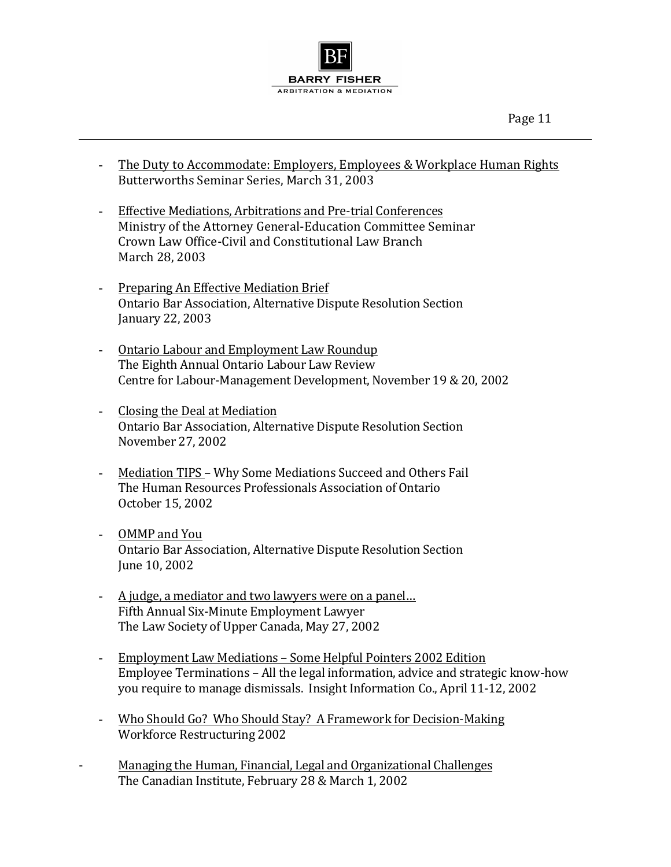

- The Duty to Accommodate: Employers, Employees & Workplace Human Rights Butterworths Seminar Series, March 31, 2003
- Effective Mediations, Arbitrations and Pre-trial Conferences Ministry of the Attorney General-Education Committee Seminar Crown Law Office-Civil and Constitutional Law Branch March 28, 2003
- Preparing An Effective Mediation Brief Ontario Bar Association, Alternative Dispute Resolution Section January 22, 2003
- Ontario Labour and Employment Law Roundup The Eighth Annual Ontario Labour Law Review Centre for Labour-Management Development, November 19 & 20, 2002
- Closing the Deal at Mediation Ontario Bar Association, Alternative Dispute Resolution Section November 27, 2002
- Mediation TIPS Why Some Mediations Succeed and Others Fail The Human Resources Professionals Association of Ontario October 15, 2002
- OMMP and You Ontario Bar Association, Alternative Dispute Resolution Section June 10, 2002
- A judge, a mediator and two lawyers were on a panel... Fifth Annual Six-Minute Employment Lawyer The Law Society of Upper Canada, May 27, 2002
- Employment Law Mediations Some Helpful Pointers 2002 Edition Employee Terminations – All the legal information, advice and strategic know-how you require to manage dismissals. Insight Information Co., April 11-12, 2002
- Who Should Go? Who Should Stay? A Framework for Decision-Making Workforce Restructuring 2002
- Managing the Human, Financial, Legal and Organizational Challenges The Canadian Institute, February 28 & March 1, 2002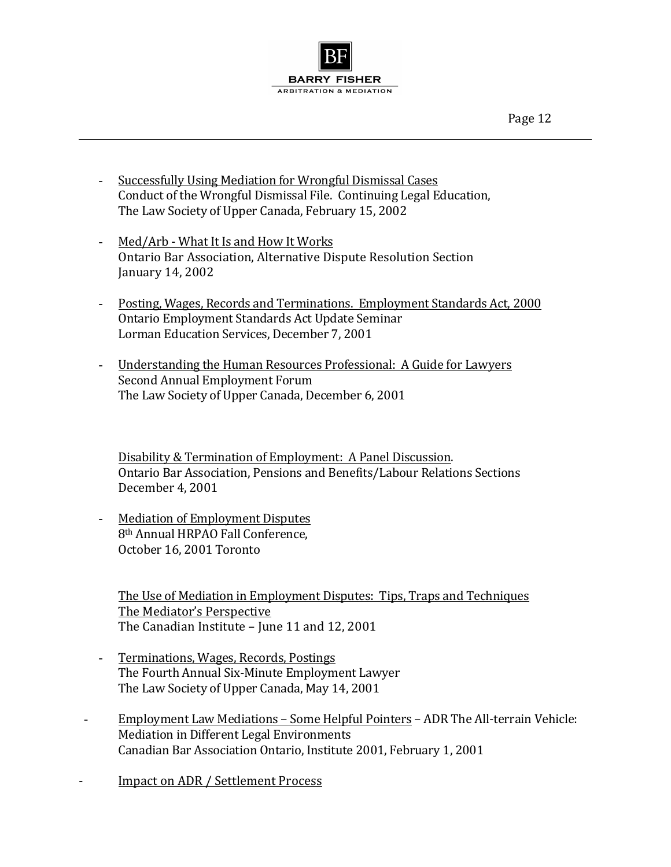

- Successfully Using Mediation for Wrongful Dismissal Cases Conduct of the Wrongful Dismissal File. Continuing Legal Education, The Law Society of Upper Canada, February 15, 2002
- Med/Arb What It Is and How It Works Ontario Bar Association, Alternative Dispute Resolution Section January 14, 2002
- Posting, Wages, Records and Terminations. Employment Standards Act, 2000 Ontario Employment Standards Act Update Seminar Lorman Education Services, December 7, 2001
- Understanding the Human Resources Professional: A Guide for Lawyers Second Annual Employment Forum The Law Society of Upper Canada, December 6, 2001

Disability & Termination of Employment: A Panel Discussion. Ontario Bar Association, Pensions and Benefits/Labour Relations Sections December 4, 2001

- Mediation of Employment Disputes 8<sup>th</sup> Annual HRPAO Fall Conference, October 16, 2001 Toronto

The Use of Mediation in Employment Disputes: Tips, Traps and Techniques The Mediator's Perspective The Canadian Institute - June 11 and 12, 2001

- Terminations, Wages, Records, Postings The Fourth Annual Six-Minute Employment Lawyer The Law Society of Upper Canada, May 14, 2001
- Employment Law Mediations Some Helpful Pointers ADR The All-terrain Vehicle: Mediation in Different Legal Environments Canadian Bar Association Ontario, Institute 2001, February 1, 2001

- Impact on ADR / Settlement Process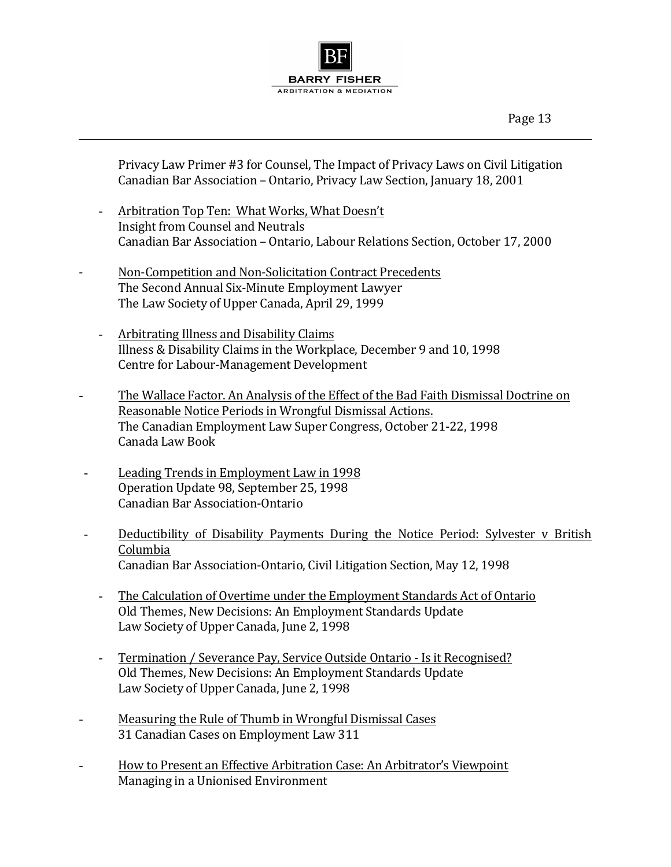

Privacy Law Primer #3 for Counsel, The Impact of Privacy Laws on Civil Litigation Canadian Bar Association - Ontario, Privacy Law Section, January 18, 2001

- Arbitration Top Ten: What Works, What Doesn't Insight from Counsel and Neutrals Canadian Bar Association - Ontario, Labour Relations Section, October 17, 2000
- Non-Competition and Non-Solicitation Contract Precedents The Second Annual Six-Minute Employment Lawyer The Law Society of Upper Canada, April 29, 1999
	- Arbitrating Illness and Disability Claims Illness & Disability Claims in the Workplace, December 9 and 10, 1998 Centre for Labour-Management Development
- The Wallace Factor. An Analysis of the Effect of the Bad Faith Dismissal Doctrine on Reasonable Notice Periods in Wrongful Dismissal Actions. The Canadian Employment Law Super Congress, October 21-22, 1998 Canada Law Book
- Leading Trends in Employment Law in 1998 Operation Update 98, September 25, 1998 Canadian Bar Association-Ontario
- Deductibility of Disability Payments During the Notice Period: Sylvester v British Columbia Canadian Bar Association-Ontario, Civil Litigation Section, May 12, 1998
	- The Calculation of Overtime under the Employment Standards Act of Ontario Old Themes, New Decisions: An Employment Standards Update Law Society of Upper Canada, June 2, 1998
	- Termination / Severance Pay, Service Outside Ontario Is it Recognised? Old Themes, New Decisions: An Employment Standards Update Law Society of Upper Canada, June 2, 1998
- Measuring the Rule of Thumb in Wrongful Dismissal Cases 31 Canadian Cases on Employment Law 311
- How to Present an Effective Arbitration Case: An Arbitrator's Viewpoint Managing in a Unionised Environment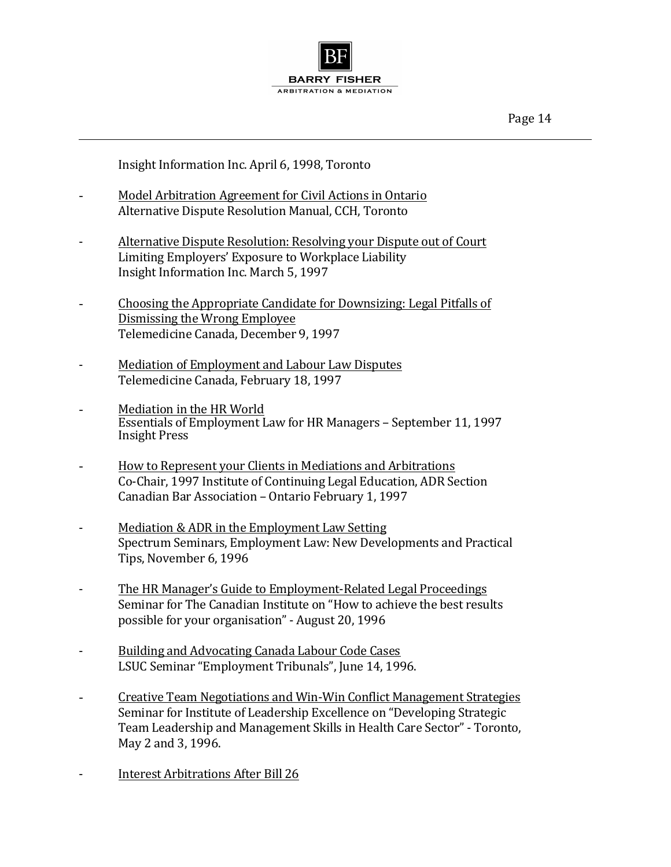

Insight Information Inc. April 6, 1998, Toronto

- Model Arbitration Agreement for Civil Actions in Ontario Alternative Dispute Resolution Manual, CCH, Toronto
- Alternative Dispute Resolution: Resolving your Dispute out of Court Limiting Employers' Exposure to Workplace Liability Insight Information Inc. March 5, 1997
- Choosing the Appropriate Candidate for Downsizing: Legal Pitfalls of Dismissing the Wrong Employee Telemedicine Canada, December 9, 1997
- Mediation of Employment and Labour Law Disputes Telemedicine Canada, February 18, 1997
- Mediation in the HR World Essentials of Employment Law for HR Managers - September 11, 1997 Insight Press
- How to Represent your Clients in Mediations and Arbitrations Co-Chair, 1997 Institute of Continuing Legal Education, ADR Section Canadian Bar Association - Ontario February 1, 1997
- Mediation & ADR in the Employment Law Setting Spectrum Seminars, Employment Law: New Developments and Practical Tips, November 6, 1996
- The HR Manager's Guide to Employment-Related Legal Proceedings Seminar for The Canadian Institute on "How to achieve the best results possible for your organisation" - August 20, 1996
- Building and Advocating Canada Labour Code Cases LSUC Seminar "Employment Tribunals", June 14, 1996.
- Creative Team Negotiations and Win-Win Conflict Management Strategies Seminar for Institute of Leadership Excellence on "Developing Strategic Team Leadership and Management Skills in Health Care Sector" - Toronto, May 2 and 3, 1996.
- Interest Arbitrations After Bill 26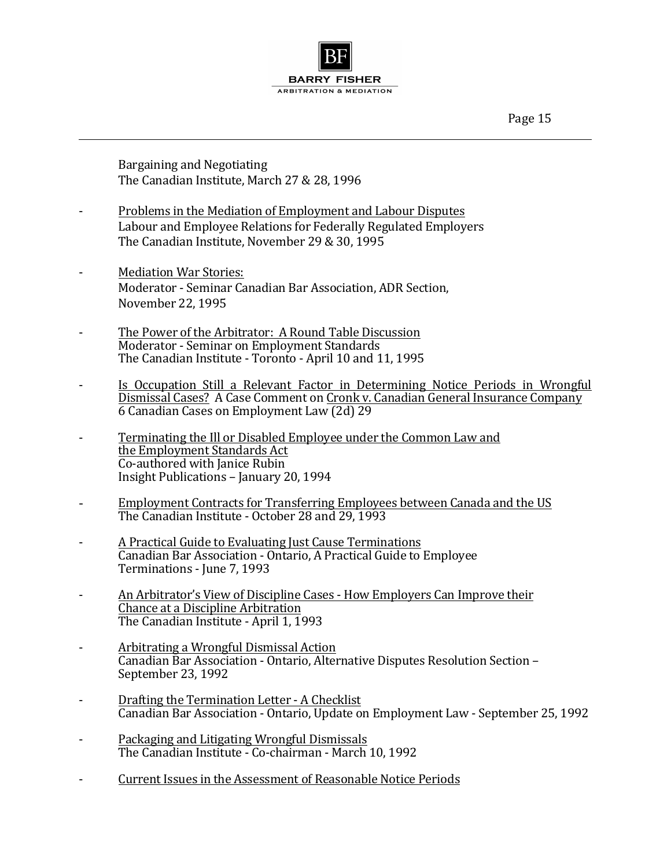Page 15

Bargaining and Negotiating The Canadian Institute, March 27 & 28, 1996

- Problems in the Mediation of Employment and Labour Disputes Labour and Employee Relations for Federally Regulated Employers The Canadian Institute, November 29 & 30, 1995
- Mediation War Stories: Moderator - Seminar Canadian Bar Association, ADR Section, November 22, 1995
- The Power of the Arbitrator: A Round Table Discussion Moderator - Seminar on Employment Standards The Canadian Institute - Toronto - April 10 and 11, 1995
- Is Occupation Still a Relevant Factor in Determining Notice Periods in Wrongful Dismissal Cases? A Case Comment on Cronk v. Canadian General Insurance Company 6 Canadian Cases on Employment Law (2d) 29
- Terminating the Ill or Disabled Employee under the Common Law and the Employment Standards Act Co-authored with Janice Rubin Insight Publications – January 20, 1994
- Employment Contracts for Transferring Employees between Canada and the US The Canadian Institute - October 28 and 29, 1993
- A Practical Guide to Evaluating Just Cause Terminations Canadian Bar Association - Ontario, A Practical Guide to Employee Terminations - June 7, 1993
- An Arbitrator's View of Discipline Cases How Employers Can Improve their Chance at a Discipline Arbitration The Canadian Institute - April 1, 1993
- Arbitrating a Wrongful Dismissal Action Canadian Bar Association - Ontario, Alternative Disputes Resolution Section -September 23, 1992
- Drafting the Termination Letter A Checklist Canadian Bar Association - Ontario, Update on Employment Law - September 25, 1992
- Packaging and Litigating Wrongful Dismissals The Canadian Institute - Co-chairman - March 10, 1992
- Current Issues in the Assessment of Reasonable Notice Periods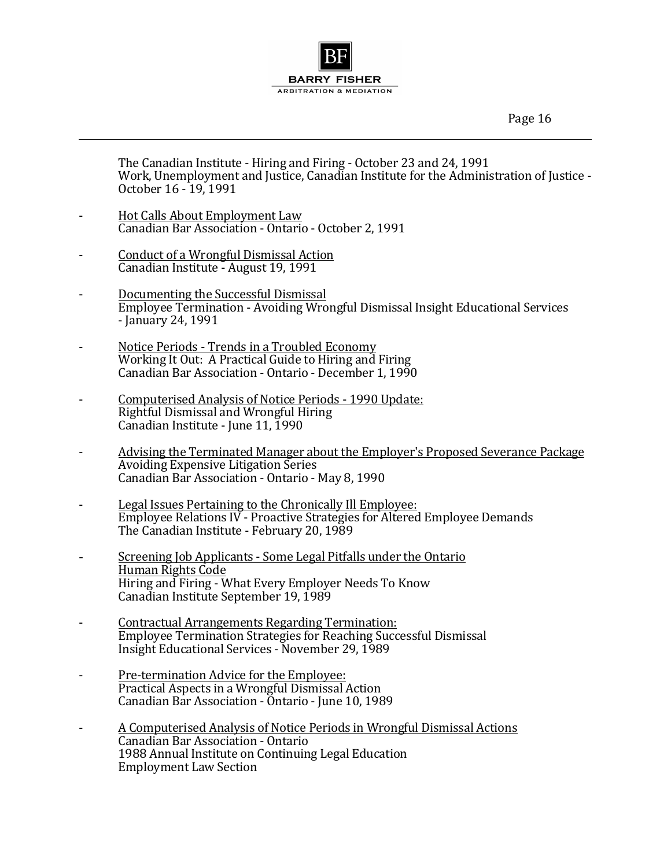Page 16

The Canadian Institute - Hiring and Firing - October 23 and 24, 1991 Work, Unemployment and Justice, Canadian Institute for the Administration of Justice -October 16 - 19, 1991

- Hot Calls About Employment Law Canadian Bar Association - Ontario - October 2, 1991
- Conduct of a Wrongful Dismissal Action Canadian Institute - August 19, 1991
- Documenting the Successful Dismissal Employee Termination - Avoiding Wrongful Dismissal Insight Educational Services - January 24, 1991
- Notice Periods Trends in a Troubled Economy Working It Out: A Practical Guide to Hiring and Firing Canadian Bar Association - Ontario - December 1, 1990
- Computerised Analysis of Notice Periods 1990 Update: Rightful Dismissal and Wrongful Hiring Canadian Institute - June 11, 1990
- Advising the Terminated Manager about the Employer's Proposed Severance Package Avoiding Expensive Litigation Series Canadian Bar Association - Ontario - May 8, 1990
- Legal Issues Pertaining to the Chronically Ill Employee: Employee Relations IV - Proactive Strategies for Altered Employee Demands The Canadian Institute - February 20, 1989
- Screening Job Applicants Some Legal Pitfalls under the Ontario Human Rights Code Hiring and Firing - What Every Employer Needs To Know Canadian Institute September 19, 1989
- Contractual Arrangements Regarding Termination: Employee Termination Strategies for Reaching Successful Dismissal Insight Educational Services - November 29, 1989
- Pre-termination Advice for the Employee: Practical Aspects in a Wrongful Dismissal Action Canadian Bar Association - Ontario - June 10, 1989
- A Computerised Analysis of Notice Periods in Wrongful Dismissal Actions Canadian Bar Association - Ontario 1988 Annual Institute on Continuing Legal Education **Employment Law Section**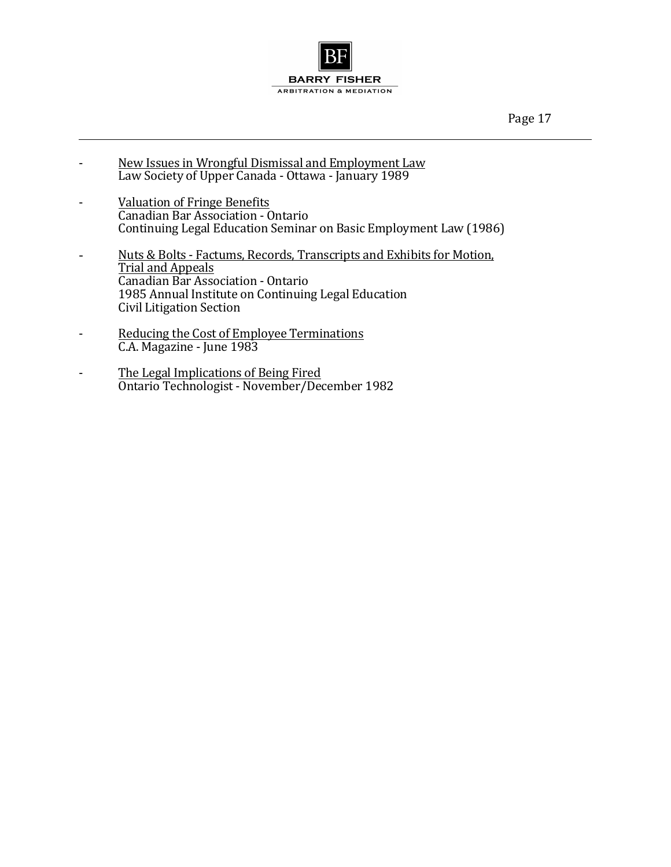

- New Issues in Wrongful Dismissal and Employment Law Law Society of Upper Canada - Ottawa - January 1989
- Valuation of Fringe Benefits Canadian Bar Association - Ontario Continuing Legal Education Seminar on Basic Employment Law (1986)
- Nuts & Bolts Factums, Records, Transcripts and Exhibits for Motion, Trial and Appeals Canadian Bar Association - Ontario 1985 Annual Institute on Continuing Legal Education Civil Litigation Section
- Reducing the Cost of Employee Terminations C.A. Magazine - June 1983
- The Legal Implications of Being Fired Ontario Technologist - November/December 1982